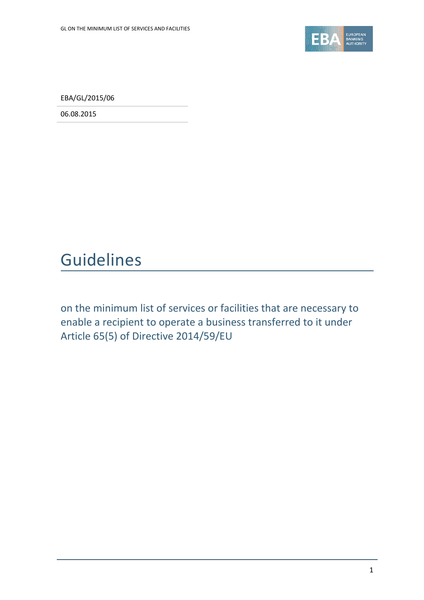

EBA/GL/2015/06

06.08.2015

# Guidelines

on the minimum list of services or facilities that are necessary to enable a recipient to operate a business transferred to it under Article 65(5) of Directive 2014/59/EU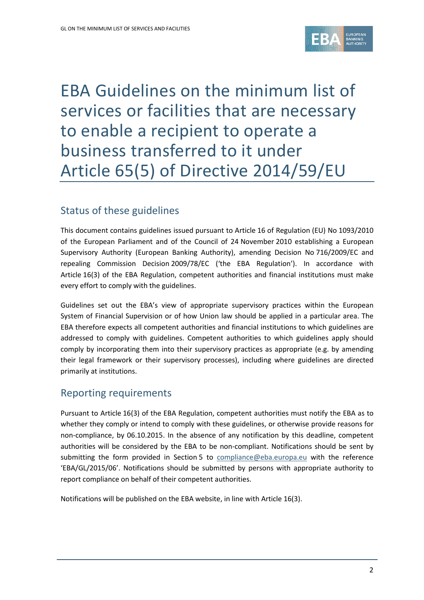

# EBA Guidelines on the minimum list of services or facilities that are necessary to enable a recipient to operate a business transferred to it under Article 65(5) of Directive 2014/59/EU

# Status of these guidelines

This document contains guidelines issued pursuant to Article 16 of Regulation (EU) No 1093/2010 of the European Parliament and of the Council of 24 November 2010 establishing a European Supervisory Authority (European Banking Authority), amending Decision No 716/2009/EC and repealing Commission Decision 2009/78/EC ('the EBA Regulation'). In accordance with Article 16(3) of the EBA Regulation, competent authorities and financial institutions must make every effort to comply with the guidelines.

Guidelines set out the EBA's view of appropriate supervisory practices within the European System of Financial Supervision or of how Union law should be applied in a particular area. The EBA therefore expects all competent authorities and financial institutions to which guidelines are addressed to comply with guidelines. Competent authorities to which guidelines apply should comply by incorporating them into their supervisory practices as appropriate (e.g. by amending their legal framework or their supervisory processes), including where guidelines are directed primarily at institutions.

## Reporting requirements

Pursuant to Article 16(3) of the EBA Regulation, competent authorities must notify the EBA as to whether they comply or intend to comply with these guidelines, or otherwise provide reasons for non-compliance, by 06.10.2015. In the absence of any notification by this deadline, competent authorities will be considered by the EBA to be non-compliant. Notifications should be sent by submitting the form provided in Section 5 to [compliance@eba.europa.eu](mailto:compliance@eba.europa.eu) with the reference 'EBA/GL/2015/06'. Notifications should be submitted by persons with appropriate authority to report compliance on behalf of their competent authorities.

Notifications will be published on the EBA website, in line with Article 16(3).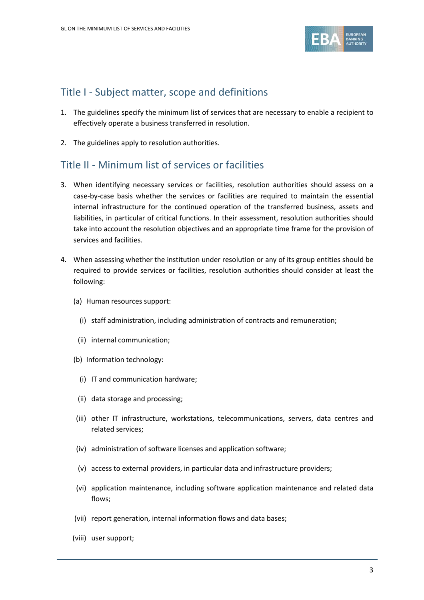

### Title I - Subject matter, scope and definitions

- 1. The guidelines specify the minimum list of services that are necessary to enable a recipient to effectively operate a business transferred in resolution.
- 2. The guidelines apply to resolution authorities.

#### Title II - Minimum list of services or facilities

- 3. When identifying necessary services or facilities, resolution authorities should assess on a case-by-case basis whether the services or facilities are required to maintain the essential internal infrastructure for the continued operation of the transferred business, assets and liabilities, in particular of critical functions. In their assessment, resolution authorities should take into account the resolution objectives and an appropriate time frame for the provision of services and facilities.
- 4. When assessing whether the institution under resolution or any of its group entities should be required to provide services or facilities, resolution authorities should consider at least the following:
	- (a) Human resources support:
		- (i) staff administration, including administration of contracts and remuneration;
		- (ii) internal communication;
	- (b) Information technology:
		- (i) IT and communication hardware;
		- (ii) data storage and processing;
	- (iii) other IT infrastructure, workstations, telecommunications, servers, data centres and related services;
	- (iv) administration of software licenses and application software;
	- (v) access to external providers, in particular data and infrastructure providers;
	- (vi) application maintenance, including software application maintenance and related data flows;
	- (vii) report generation, internal information flows and data bases;
	- (viii) user support;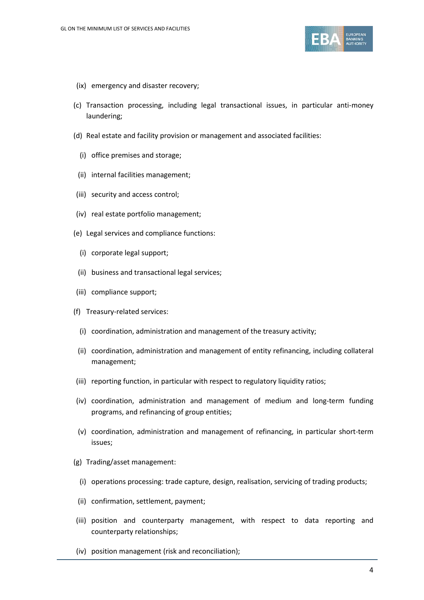

- (ix) emergency and disaster recovery;
- (c) Transaction processing, including legal transactional issues, in particular anti-money laundering;
- (d) Real estate and facility provision or management and associated facilities:
	- (i) office premises and storage;
	- (ii) internal facilities management;
- (iii) security and access control;
- (iv) real estate portfolio management;
- (e) Legal services and compliance functions:
	- (i) corporate legal support;
- (ii) business and transactional legal services;
- (iii) compliance support;
- (f) Treasury-related services:
	- (i) coordination, administration and management of the treasury activity;
- (ii) coordination, administration and management of entity refinancing, including collateral management;
- (iii) reporting function, in particular with respect to regulatory liquidity ratios;
- (iv) coordination, administration and management of medium and long-term funding programs, and refinancing of group entities;
- (v) coordination, administration and management of refinancing, in particular short-term issues;
- (g) Trading/asset management:
	- (i) operations processing: trade capture, design, realisation, servicing of trading products;
	- (ii) confirmation, settlement, payment;
- (iii) position and counterparty management, with respect to data reporting and counterparty relationships;
- (iv) position management (risk and reconciliation);